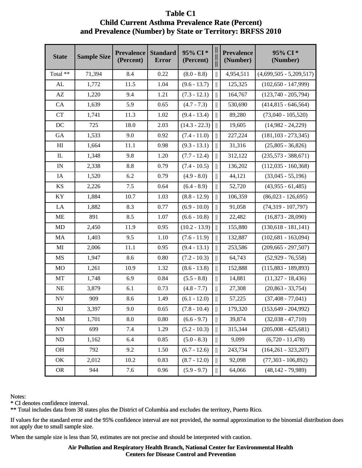## Table C1 **Child Current Asthma Prevalence Rate (Percent) (Percent)** and Prevalence (Number) by State or Territory: BRFSS 2010

| <b>State</b>             | <b>Sample Size</b> | <b>Prevalence</b><br>(Percent) | <b>Standard</b><br><b>Error</b> | 95% CI*<br>(Percent) | Ш                                       | <b>Prevalence</b><br>(Number) | 95% CI*<br>(Number)       |
|--------------------------|--------------------|--------------------------------|---------------------------------|----------------------|-----------------------------------------|-------------------------------|---------------------------|
| Total **                 | 71,394             | 8.4                            | 0.22                            | $(8.0 - 8.8)$        |                                         | 4,954,511                     | $(4,699,505 - 5,209,517)$ |
| ${\rm AL}$               | 1,772              | 11.5                           | 1.04                            | $(9.6 - 13.7)$       | $\parallel$                             | 125,325                       | $(102, 650 - 147, 999)$   |
| AZ                       | 1,220              | 9.4                            | 1.21                            | $(7.3 - 12.1)$       | $\mathbb{I}$                            | 164,767                       | $(123,740 - 205,794)$     |
| CA                       | 1,639              | 5.9                            | 0.65                            | $(4.7 - 7.3)$        | Ш                                       | 530,690                       | $(414,815 - 646,564)$     |
| <b>CT</b>                | 1,741              | 11.3                           | 1.02                            | $(9.4 - 13.4)$       | $\parallel$                             | 89,280                        | $(73,040 - 105,520)$      |
| $DC$                     | 725                | 18.0                           | 2.03                            | $(14.3 - 22.3)$      | $\parallel$                             | 19,605                        | $(14,982 - 24,229)$       |
| GA                       | 1,533              | 9.0                            | 0.92                            | $(7.4 - 11.0)$       | $\parallel$                             | 227,224                       | $(181, 103 - 273, 345)$   |
| H <sub>I</sub>           | 1,664              | 11.1                           | 0.98                            | $(9.3 - 13.1)$       | $\parallel$                             | 31,316                        | $(25,805 - 36,826)$       |
| $_{\rm IL}$              | 1,348              | 9.8                            | 1.20                            | $(7.7 - 12.4)$       | $\parallel$                             | 312,122                       | $(235,573 - 388,671)$     |
| $\ensuremath{\text{IN}}$ | 2,338              | 8.8                            | 0.79                            | $(7.4 - 10.5)$       | Ш                                       | 136,202                       | $(112,035 - 160,368)$     |
| IA                       | 1,520              | 6.2                            | 0.79                            | $(4.9 - 8.0)$        | $\parallel$                             | 44,121                        | $(33,045 - 55,196)$       |
| <b>KS</b>                | 2,226              | 7.5                            | 0.64                            | $(6.4 - 8.9)$        | $\parallel$                             | 52,720                        | $(43,955 - 61,485)$       |
| KY                       | 1,884              | 10.7                           | 1.03                            | $(8.8 - 12.9)$       | $\parallel$                             | 106,359                       | $(86,023 - 126,695)$      |
| LA                       | 1,882              | 8.3                            | 0.77                            | $(6.9 - 10.0)$       | $\parallel$                             | 91,058                        | $(74,319 - 107,797)$      |
| ME                       | 891                | 8.5                            | 1.07                            | $(6.6 - 10.8)$       | $\parallel$                             | 22,482                        | $(16,873 - 28,090)$       |
| MD                       | 2,450              | 11.9                           | 0.95                            | $(10.2 - 13.9)$      | $\parallel$                             | 155,880                       | $(130,618 - 181,141)$     |
| MA                       | 1,403              | 9.5                            | 1.10                            | $(7.6 - 11.9)$       | $\parallel$                             | 132,887                       | $(102, 681 - 163, 094)$   |
| MI                       | 2,006              | 11.1                           | 0.95                            | $(9.4 - 13.1)$       | $\parallel$                             | 253,586                       | $(209, 665 - 297, 507)$   |
| MS                       | 1,947              | 8.6                            | 0.80                            | $(7.2 - 10.3)$       | $\mathbb{I}$                            | 64,743                        | $(52,929 - 76,558)$       |
| MO                       | 1,261              | 10.9                           | 1.32                            | $(8.6 - 13.8)$       | $\parallel$                             | 152,888                       | $(115,883 - 189,893)$     |
| MT                       | 1,748              | 6.9                            | 0.84                            | $(5.5 - 8.8)$        | $\parallel$                             | 14,881                        | $(11,327 - 18,436)$       |
| NE                       | 3,879              | 6.1                            | 0.73                            | $(4.8 - 7.7)$        | $\parallel$                             | 27,308                        | $(20, 863 - 33, 754)$     |
| ${\rm NV}$               | 909                | 8.6                            | 1.49                            | $(6.1 - 12.0)$       | $\parallel$                             | 57,225                        | $(37, 408 - 77, 041)$     |
| $\mathbf{N}\mathbf{J}$   | 3,397              | 9.0                            | 0.65                            | $(7.8 - 10.4)$       | $\parallel$                             | 179,320                       | $(153, 649 - 204, 992)$   |
| NM                       | 1,701              | 8.0                            | 0.80                            | $(6.6 - 9.7)$        | $\parallel$                             | 39,874                        | $(32,038 - 47,710)$       |
| NY                       | 699                | 7.4                            | 1.29                            | $(5.2 - 10.3)$       | $\mathcal{L}^{\text{max}}_{\text{max}}$ | 315,344                       | $(205,008 - 425,681)$     |
| ND                       | 1,162              | 6.4                            | 0.85                            | $(5.0 - 8.3)$        | $\parallel$                             | 9,099                         | $(6,720 - 11,478)$        |
| OH                       | 792                | 9.2                            | 1.50                            | $(6.7 - 12.6)$       | $\parallel$                             | 243,734                       | $(164, 261 - 323, 207)$   |
| OK                       | 2,012              | 10.2                           | 0.83                            | $(8.7 - 12.0)$       | Ш                                       | 92,098                        | $(77,303 - 106,892)$      |
| <b>OR</b>                | 944                | 7.6                            | 0.96                            | $(5.9 - 9.7)$        | $\begin{array}{c} \hline \end{array}$   | 64,066                        | $(48, 142 - 79, 989)$     |

Notes:

\* CI denotes confidence interval. interval.

\*\* Total includes data from 38 states plus the District of Columbia and excludes the territory, Puerto Rico. Rico.

If values for the standard error and the 95% confidence interval are not provided, the normal approximation to the binomial distribution does not apply due to small sample size.

When the sample size is less than 50, estimates are not precise and should be interpreted with caution.

**Air Pollution and Respiratory Health Branch, National Center for Environmental Health Health Centers for Disease Control and Prevention**